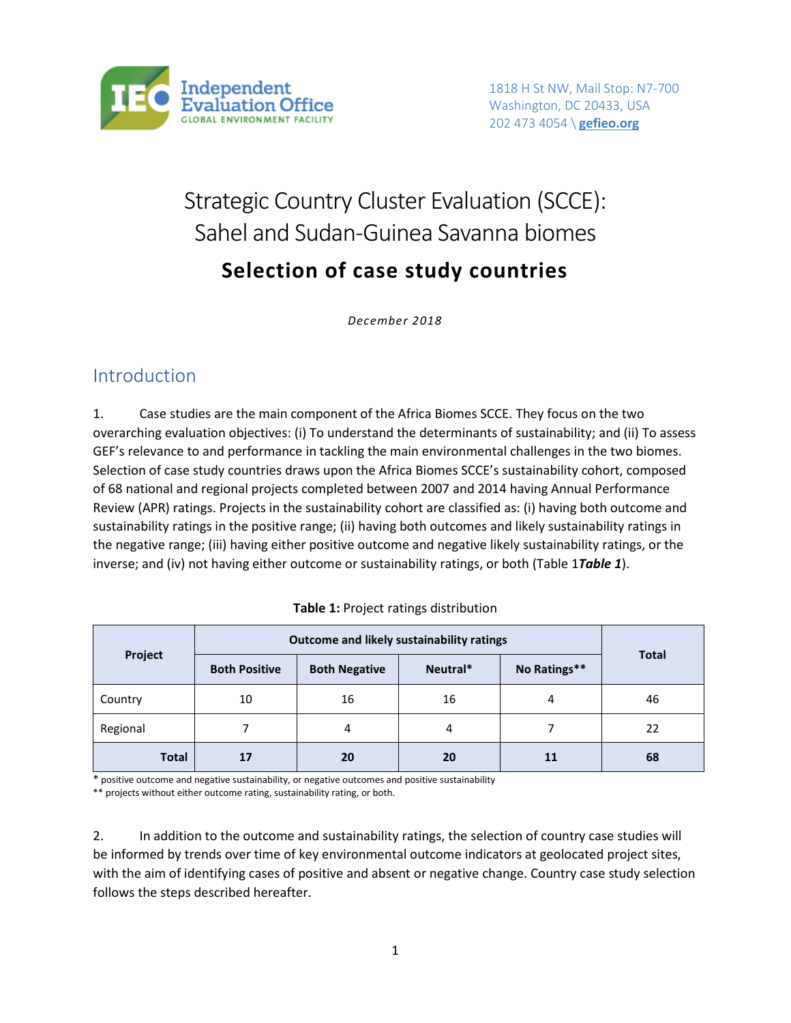

# Strategic Country Cluster Evaluation (SCCE): Sahel and Sudan-Guinea Savanna biomes **Selection of case study countries**

*December 2018*

### Introduction

1. Case studies are the main component of the Africa Biomes SCCE. They focus on the two overarching evaluation objectives: (i) To understand the determinants of sustainability; and (ii) To assess GEF's relevance to and performance in tackling the main environmental challenges in the two biomes. Selection of case study countries draws upon the Africa Biomes SCCE's sustainability cohort, composed of 68 national and regional projects completed between 2007 and 2014 having Annual Performance Review (APR) ratings. Projects in the sustainability cohort are classified as: (i) having both outcome and sustainability ratings in the positive range; (ii) having both outcomes and likely sustainability ratings in the negative range; (iii) having either positive outcome and negative likely sustainability ratings, or the inverse; and (iv) not having either outcome or sustainability ratings, or both (Table 1*[Table 1](#page-0-0)*).

<span id="page-0-0"></span>

|              |                      |                      | Outcome and likely sustainability ratings |              |              |
|--------------|----------------------|----------------------|-------------------------------------------|--------------|--------------|
| Project      | <b>Both Positive</b> | <b>Both Negative</b> | Neutral*                                  | No Ratings** | <b>Total</b> |
| Country      | 10                   | 16                   | 16                                        | 4            | 46           |
| Regional     |                      | 4                    | 4                                         |              | 22           |
| <b>Total</b> | 17                   | 20                   | 20                                        | 11           | 68           |

**Table 1:** Project ratings distribution

\* positive outcome and negative sustainability, or negative outcomes and positive sustainability

\*\* projects without either outcome rating, sustainability rating, or both.

2. In addition to the outcome and sustainability ratings, the selection of country case studies will be informed by trends over time of key environmental outcome indicators at geolocated project sites, with the aim of identifying cases of positive and absent or negative change. Country case study selection follows the steps described hereafter.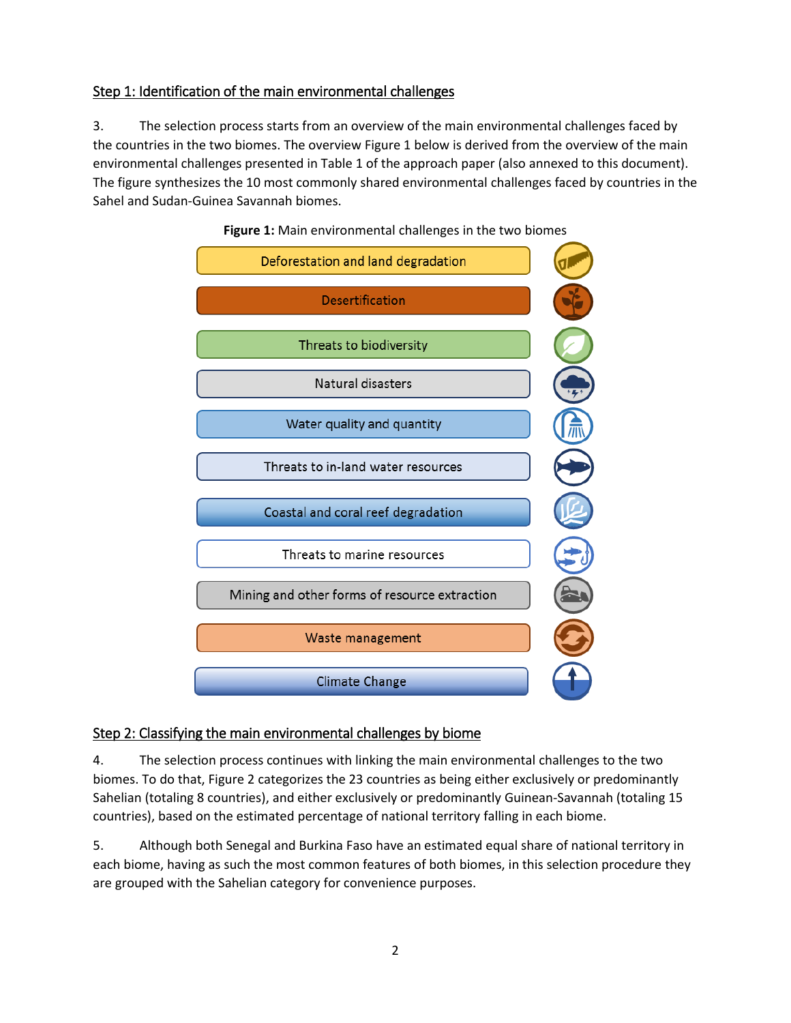#### Step 1: Identification of the main environmental challenges

3. The selection process starts from an overview of the main environmental challenges faced by the countries in the two biomes. The overview Figure 1 below is derived from the overview of the main environmental challenges presented in Table 1 of the approach paper (also annexed to this document). The figure synthesizes the 10 most commonly shared environmental challenges faced by countries in the Sahel and Sudan-Guinea Savannah biomes.



**Figure 1:** Main environmental challenges in the two biomes

#### Step 2: Classifying the main environmental challenges by biome

4. The selection process continues with linking the main environmental challenges to the two biomes. To do that, Figure 2 categorizes the 23 countries as being either exclusively or predominantly Sahelian (totaling 8 countries), and either exclusively or predominantly Guinean-Savannah (totaling 15 countries), based on the estimated percentage of national territory falling in each biome.

5. Although both Senegal and Burkina Faso have an estimated equal share of national territory in each biome, having as such the most common features of both biomes, in this selection procedure they are grouped with the Sahelian category for convenience purposes.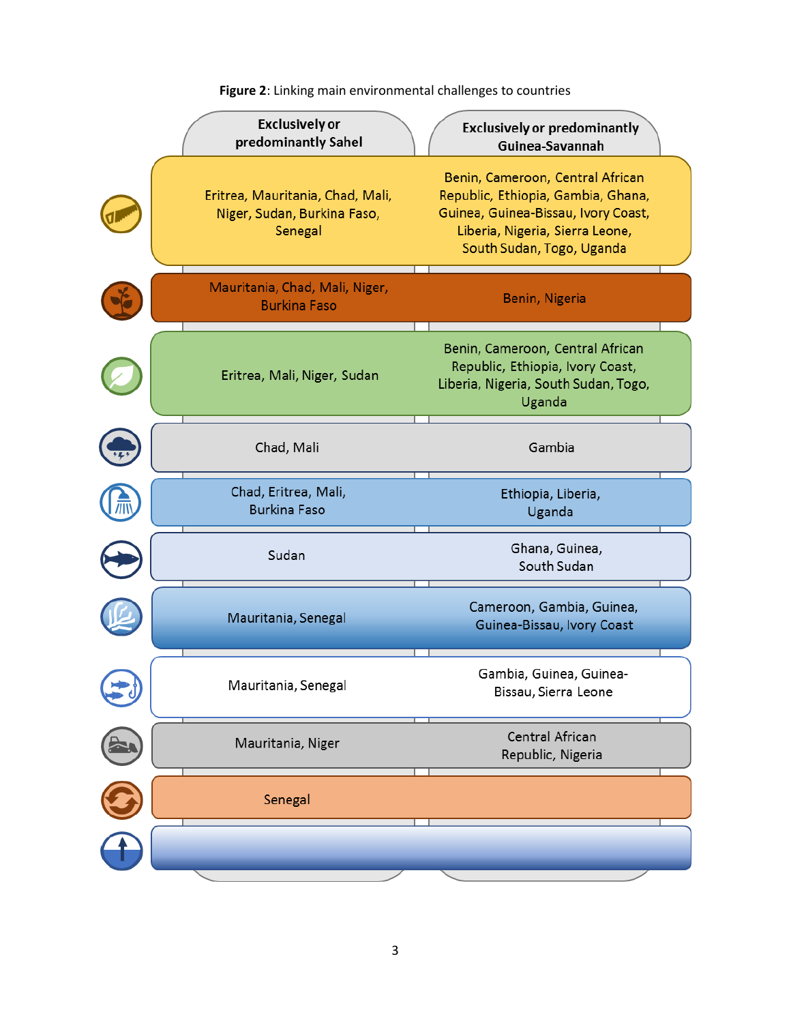| <b>Exclusively or</b><br>predominantly Sahel                               | <b>Exclusively or predominantly</b><br>Guinea-Savannah                                                                                                                        |
|----------------------------------------------------------------------------|-------------------------------------------------------------------------------------------------------------------------------------------------------------------------------|
| Eritrea, Mauritania, Chad, Mali,<br>Niger, Sudan, Burkina Faso,<br>Senegal | Benin, Cameroon, Central African<br>Republic, Ethiopia, Gambia, Ghana,<br>Guinea, Guinea-Bissau, Ivory Coast,<br>Liberia, Nigeria, Sierra Leone,<br>South Sudan, Togo, Uganda |
| Mauritania, Chad, Mali, Niger,<br><b>Burkina Faso</b>                      | Benin, Nigeria                                                                                                                                                                |
| Eritrea, Mali, Niger, Sudan                                                | Benin, Cameroon, Central African<br>Republic, Ethiopia, Ivory Coast,<br>Liberia, Nigeria, South Sudan, Togo,<br>Uganda                                                        |
| Chad, Mali                                                                 | Gambia                                                                                                                                                                        |
| Chad, Eritrea, Mali,<br><b>Burkina Faso</b>                                | Ethiopia, Liberia,<br>Uganda                                                                                                                                                  |
| Sudan                                                                      | Ghana, Guinea,<br>South Sudan                                                                                                                                                 |
| Mauritania, Senegal                                                        | Cameroon, Gambia, Guinea,<br>Guinea-Bissau, Ivory Coast                                                                                                                       |
| Mauritania, Senegal                                                        | Gambia, Guinea, Guinea-<br>Bissau, Sierra Leone                                                                                                                               |
| Mauritania, Niger                                                          | Central African<br>Republic, Nigeria                                                                                                                                          |
| Senegal                                                                    |                                                                                                                                                                               |
|                                                                            |                                                                                                                                                                               |

**Figure 2**: Linking main environmental challenges to countries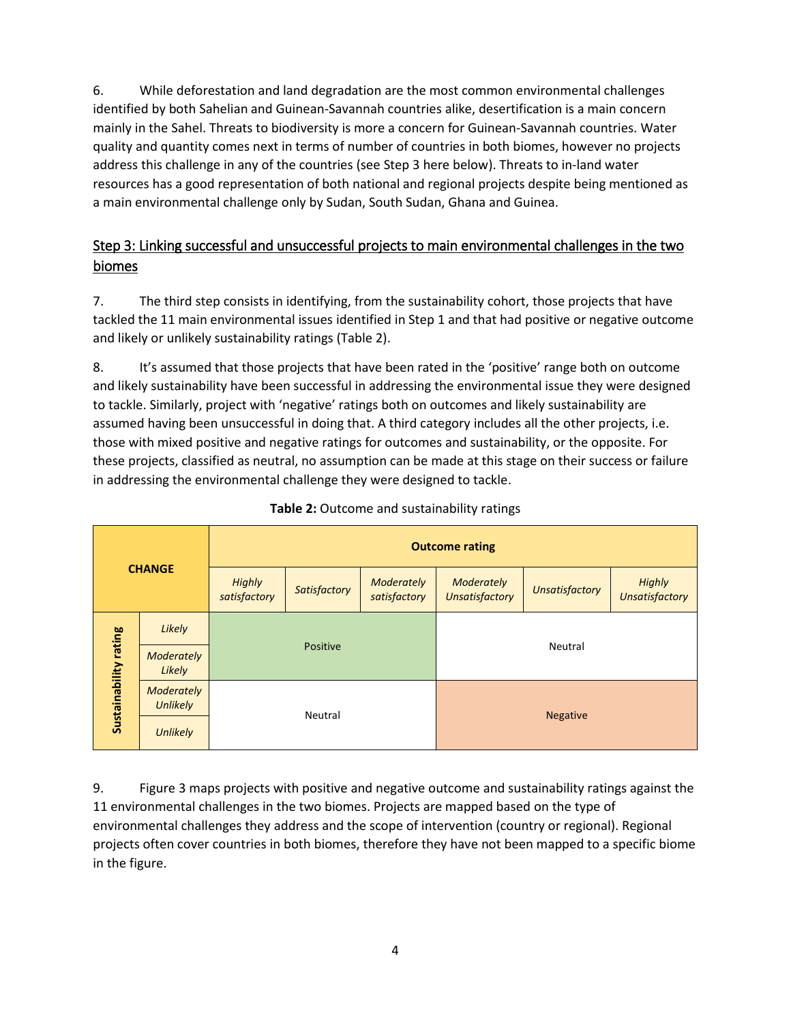6. While deforestation and land degradation are the most common environmental challenges identified by both Sahelian and Guinean-Savannah countries alike, desertification is a main concern mainly in the Sahel. Threats to biodiversity is more a concern for Guinean-Savannah countries. Water quality and quantity comes next in terms of number of countries in both biomes, however no projects address this challenge in any of the countries (see Step 3 here below). Threats to in-land water resources has a good representation of both national and regional projects despite being mentioned as a main environmental challenge only by Sudan, South Sudan, Ghana and Guinea.

### Step 3: Linking successful and unsuccessful projects to main environmental challenges in the two biomes

7. The third step consists in identifying, from the sustainability cohort, those projects that have tackled the 11 main environmental issues identified in Step 1 and that had positive or negative outcome and likely or unlikely sustainability ratings (Table 2).

8. It's assumed that those projects that have been rated in the 'positive' range both on outcome and likely sustainability have been successful in addressing the environmental issue they were designed to tackle. Similarly, project with 'negative' ratings both on outcomes and likely sustainability are assumed having been unsuccessful in doing that. A third category includes all the other projects, i.e. those with mixed positive and negative ratings for outcomes and sustainability, or the opposite. For these projects, classified as neutral, no assumption can be made at this stage on their success or failure in addressing the environmental challenge they were designed to tackle.

|                       |                               | <b>Outcome rating</b>         |              |                            |                                                                                                        |  |  |  |  |  |  |
|-----------------------|-------------------------------|-------------------------------|--------------|----------------------------|--------------------------------------------------------------------------------------------------------|--|--|--|--|--|--|
|                       | <b>CHANGE</b>                 | <b>Highly</b><br>satisfactory | Satisfactory | Moderately<br>satisfactory | <b>Highly</b><br>Moderately<br><b>Unsatisfactory</b><br><b>Unsatisfactory</b><br><b>Unsatisfactory</b> |  |  |  |  |  |  |
|                       | Likely                        |                               |              |                            |                                                                                                        |  |  |  |  |  |  |
|                       | Moderately<br>Likely          |                               | Positive     |                            | Neutral                                                                                                |  |  |  |  |  |  |
| Sustainability rating | Moderately<br><b>Unlikely</b> |                               | Neutral      |                            |                                                                                                        |  |  |  |  |  |  |
|                       | <b>Unlikely</b>               |                               |              |                            | <b>Negative</b>                                                                                        |  |  |  |  |  |  |

#### **Table 2:** Outcome and sustainability ratings

9. Figure 3 maps projects with positive and negative outcome and sustainability ratings against the 11 environmental challenges in the two biomes. Projects are mapped based on the type of environmental challenges they address and the scope of intervention (country or regional). Regional projects often cover countries in both biomes, therefore they have not been mapped to a specific biome in the figure.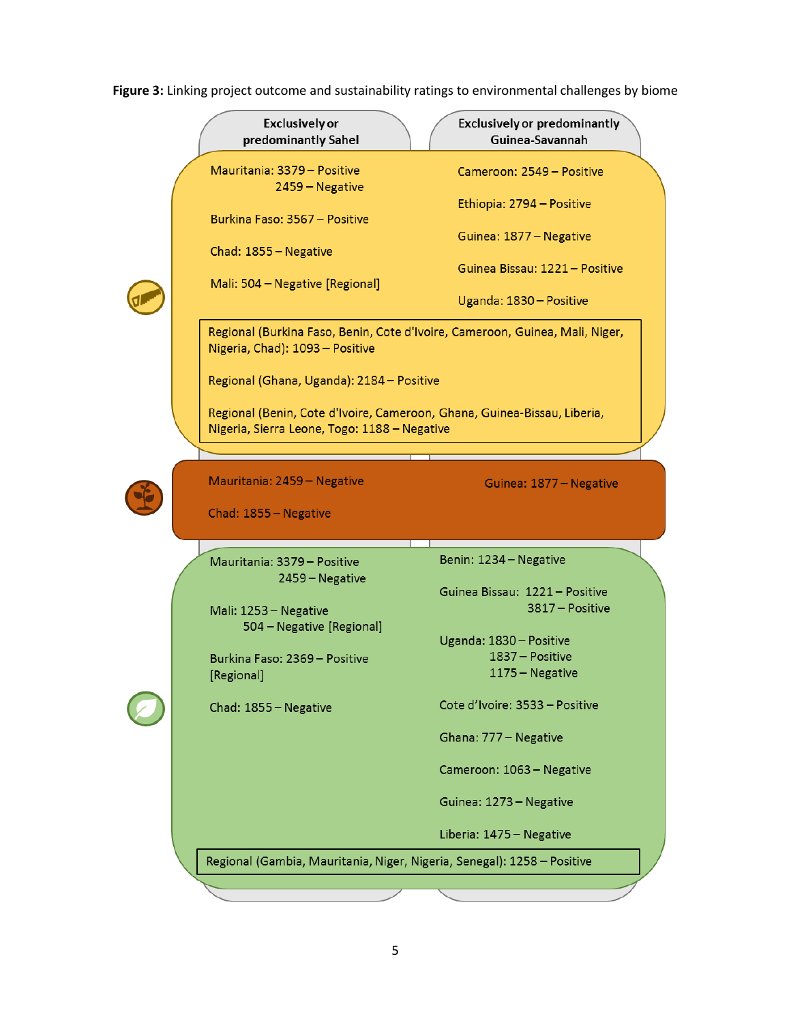| <b>Exclusively or</b><br>predominantly Sahel                                                                    | <b>Exclusively or predominantly</b><br>Guinea-Savannah |
|-----------------------------------------------------------------------------------------------------------------|--------------------------------------------------------|
| Mauritania: 3379 - Positive<br>2459 – Negative                                                                  | Cameroon: 2549 - Positive                              |
| Burkina Faso: 3567 - Positive                                                                                   | Ethiopia: 2794 - Positive                              |
| Chad: 1855 - Negative                                                                                           | Guinea: 1877 - Negative                                |
| Mali: 504 - Negative [Regional]                                                                                 | Guinea Bissau: 1221 - Positive                         |
|                                                                                                                 | Uganda: 1830 - Positive                                |
| Regional (Burkina Faso, Benin, Cote d'Ivoire, Cameroon, Guinea, Mali, Niger,<br>Nigeria, Chad): 1093 - Positive |                                                        |
| Regional (Ghana, Uganda): 2184 - Positive                                                                       |                                                        |
| Regional (Benin, Cote d'Ivoire, Cameroon, Ghana, Guinea-Bissau, Liberia,                                        |                                                        |
| Nigeria, Sierra Leone, Togo: 1188 - Negative                                                                    |                                                        |
| Mauritania: 2459 - Negative                                                                                     | Guinea: 1877 - Negative                                |
| Chad: 1855 - Negative                                                                                           |                                                        |
| Mauritania: 3379 - Positive                                                                                     | Benin: 1234 - Negative                                 |
| 2459 – Negative                                                                                                 | Guinea Bissau: 1221 - Positive                         |
| Mali: 1253 - Negative<br>504 - Negative [Regional]                                                              | 3817 - Positive                                        |
| Burkina Faso: 2369 - Positive                                                                                   | Uganda: 1830 - Positive<br>1837 - Positive             |
| [Regional]                                                                                                      | 1175 - Negative                                        |
| Chad: 1855 - Negative                                                                                           | Cote d'Ivoire: 3533 - Positive                         |
|                                                                                                                 |                                                        |
|                                                                                                                 | Ghana: 777 - Negative                                  |
|                                                                                                                 | Cameroon: 1063 - Negative                              |
|                                                                                                                 | Guinea: 1273 - Negative                                |
|                                                                                                                 | Liberia: 1475 - Negative                               |
| Regional (Gambia, Mauritania, Niger, Nigeria, Senegal): 1258 - Positive                                         |                                                        |

**Figure 3:** Linking project outcome and sustainability ratings to environmental challenges by biome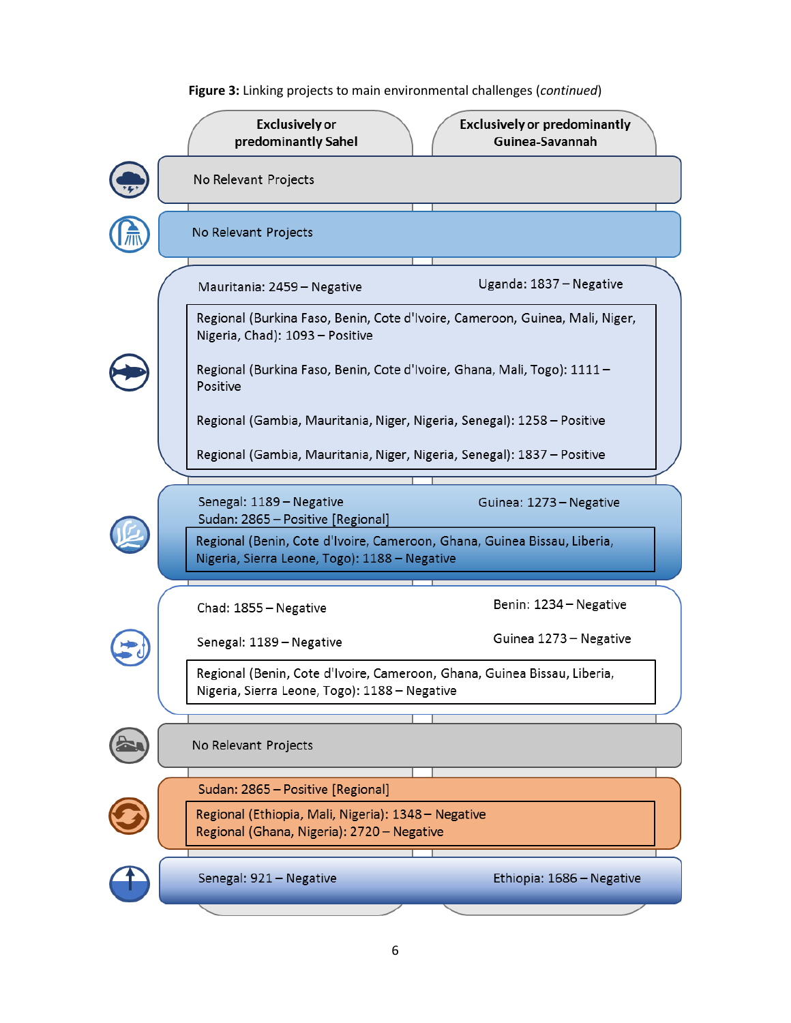

**Figure 3:** Linking projects to main environmental challenges (*continued*)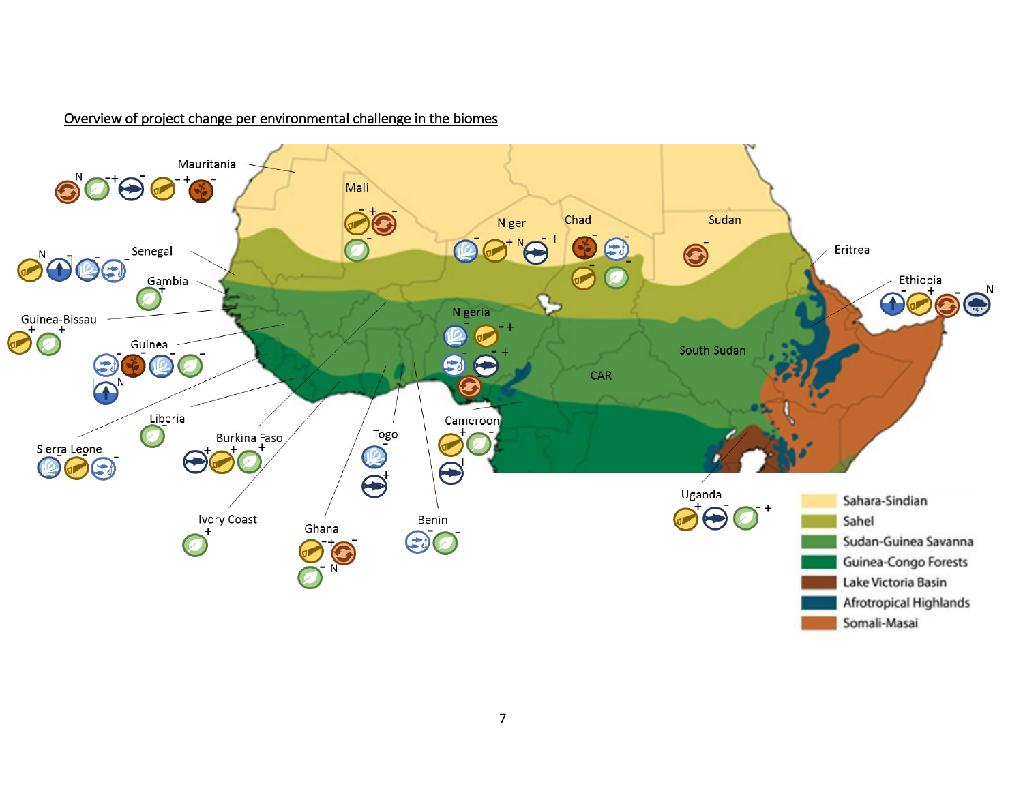#### Mauritania  $\mathbf{O}^{\prime}\mathbf{O}^{\dagger}\mathbf{\Theta}\mathbf{O}^{\dagger}\mathbf{\Theta}$ Mali Chad Sudan Niger  $\bigcirc$  $\bullet$ Õ Eritrea Senegal  $\bigcirc$   $\bigcirc$   $\bigcirc$  $10<sup>1</sup>$ Gambia Ethiopia Nigeria Guinea-Bissau Guinea South Sudan  $\bigoplus_{N}$  $\Box$  $CAR$  $A^N$ Liberia Cameroon  $\overrightarrow{a}$  $\overline{\mathbf{Q}}$  $\bigcirc$ Burkina Faso Sier<u>r</u>a Leone  $\blacktriangleright$  $\overline{\Theta}$  $\left( \begin{matrix} \textbf{1} \end{matrix} \right)$  $\bigodot$ Uganda Sahara-Sindian Ivory Coast  $\left( \right)$ Benin Sahel Ghana  $\bigcirc$ Sudan-Guinea Savanna  $\sum_{N}$ Guinea-Congo Forests Lake Victoria Basin Afrotropical Highlands

#### Overview of project change per environmental challenge in the biomes

Somali-Masai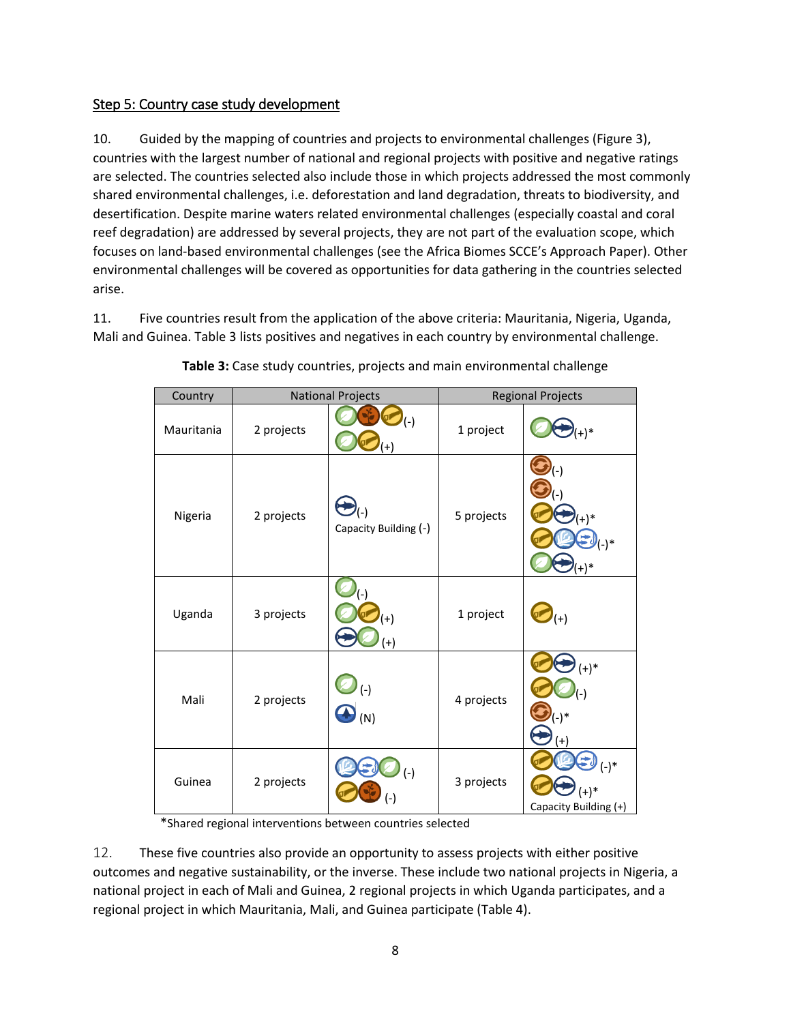#### Step 5: Country case study development

10. Guided by the mapping of countries and projects to environmental challenges (Figure 3), countries with the largest number of national and regional projects with positive and negative ratings are selected. The countries selected also include those in which projects addressed the most commonly shared environmental challenges, i.e. deforestation and land degradation, threats to biodiversity, and desertification. Despite marine waters related environmental challenges (especially coastal and coral reef degradation) are addressed by several projects, they are not part of the evaluation scope, which focuses on land-based environmental challenges (see the Africa Biomes SCCE's Approach Paper). Other environmental challenges will be covered as opportunities for data gathering in the countries selected arise.

11. Five countries result from the application of the above criteria: Mauritania, Nigeria, Uganda, Mali and Guinea. Table 3 lists positives and negatives in each country by environmental challenge.

| Country    |            | <b>National Projects</b>     |            | <b>Regional Projects</b>                    |
|------------|------------|------------------------------|------------|---------------------------------------------|
| Mauritania | 2 projects | $\mathcal{L}(\cdot)$<br>$+$  | 1 project  | $^{+})^*$                                   |
| Nigeria    | 2 projects | (-)<br>Capacity Building (-) | 5 projects | $(-)$ *<br>$(+)^*$                          |
| Uganda     | 3 projects | $(+)$<br>$^{(+)}$            | 1 project  | $(+)$                                       |
| Mali       | 2 projects | $(-)$<br>$\bullet$ (N)       | 4 projects | $(+)^*$<br>$'(-)$<br>$(-)$ *<br>$(+)$       |
| Guinea     | 2 projects | $(-)$<br>(-)                 | 3 projects | $(-)^*$<br>$(+)^*$<br>Capacity Building (+) |

**Table 3:** Case study countries, projects and main environmental challenge

\*Shared regional interventions between countries selected

12. These five countries also provide an opportunity to assess projects with either positive outcomes and negative sustainability, or the inverse. These include two national projects in Nigeria, a national project in each of Mali and Guinea, 2 regional projects in which Uganda participates, and a regional project in which Mauritania, Mali, and Guinea participate (Table 4).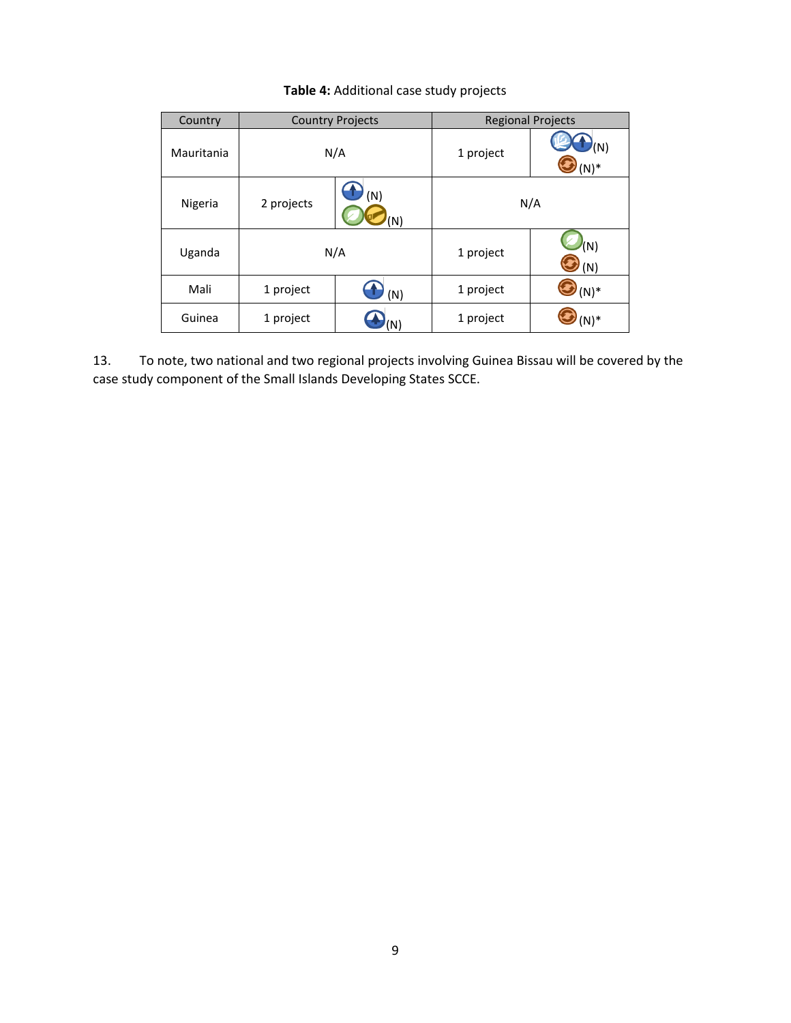| Country    |            | <b>Country Projects</b> |           | <b>Regional Projects</b> |
|------------|------------|-------------------------|-----------|--------------------------|
| Mauritania |            | N/A                     | 1 project | $\sqrt(N)$<br>$(N)^*$    |
| Nigeria    | 2 projects | (N)                     |           | N/A                      |
| Uganda     |            | N/A                     | 1 project | $^{\prime}$ (N)<br>(N)   |
| Mali       | 1 project  | (N)                     | 1 project | $(N)^*$                  |
| Guinea     | 1 project  |                         | 1 project | N)*                      |

#### **Table 4:** Additional case study projects

13. To note, two national and two regional projects involving Guinea Bissau will be covered by the case study component of the Small Islands Developing States SCCE.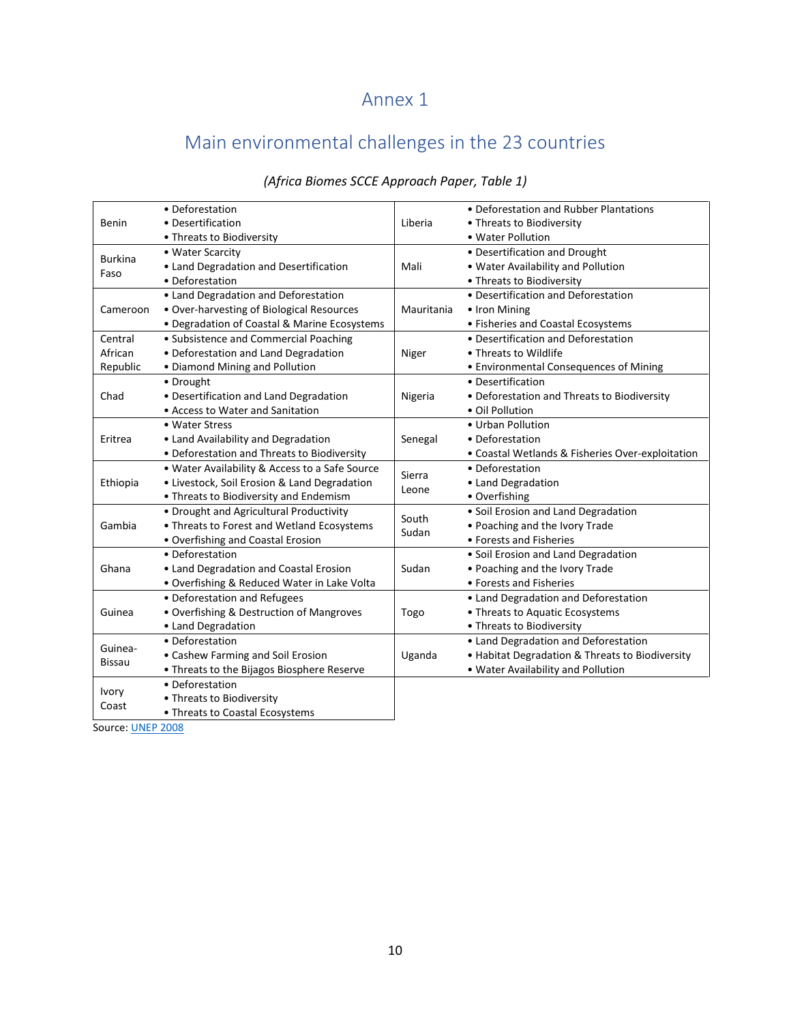### Annex 1

## Main environmental challenges in the 23 countries

|                | • Deforestation                                |            | • Deforestation and Rubber Plantations           |
|----------------|------------------------------------------------|------------|--------------------------------------------------|
| Benin          | • Desertification                              | Liberia    | • Threats to Biodiversity                        |
|                | • Threats to Biodiversity                      |            | • Water Pollution                                |
| <b>Burkina</b> | • Water Scarcity                               |            | • Desertification and Drought                    |
| Faso           | • Land Degradation and Desertification         | Mali       | . Water Availability and Pollution               |
|                | • Deforestation                                |            | • Threats to Biodiversity                        |
|                | • Land Degradation and Deforestation           |            | • Desertification and Deforestation              |
| Cameroon       | • Over-harvesting of Biological Resources      | Mauritania | • Iron Mining                                    |
|                | • Degradation of Coastal & Marine Ecosystems   |            | • Fisheries and Coastal Ecosystems               |
| Central        | • Subsistence and Commercial Poaching          |            | • Desertification and Deforestation              |
| African        | • Deforestation and Land Degradation           | Niger      | • Threats to Wildlife                            |
| Republic       | • Diamond Mining and Pollution                 |            | • Environmental Consequences of Mining           |
|                | • Drought                                      |            | • Desertification                                |
| Chad           | • Desertification and Land Degradation         | Nigeria    | • Deforestation and Threats to Biodiversity      |
|                | • Access to Water and Sanitation               |            | · Oil Pollution                                  |
|                | • Water Stress                                 |            | • Urban Pollution                                |
| Eritrea        | • Land Availability and Degradation            | Senegal    | • Deforestation                                  |
|                | • Deforestation and Threats to Biodiversity    |            | • Coastal Wetlands & Fisheries Over-exploitation |
|                | • Water Availability & Access to a Safe Source |            | • Deforestation                                  |
| Ethiopia       | • Livestock, Soil Erosion & Land Degradation   | Sierra     | • Land Degradation                               |
|                | • Threats to Biodiversity and Endemism         | Leone      | • Overfishing                                    |
|                | • Drought and Agricultural Productivity        |            | • Soil Erosion and Land Degradation              |
| Gambia         | • Threats to Forest and Wetland Ecosystems     | South      | . Poaching and the Ivory Trade                   |
|                | • Overfishing and Coastal Erosion              | Sudan      | • Forests and Fisheries                          |
|                | • Deforestation                                |            | · Soil Erosion and Land Degradation              |
| Ghana          | • Land Degradation and Coastal Erosion         | Sudan      | • Poaching and the Ivory Trade                   |
|                | • Overfishing & Reduced Water in Lake Volta    |            | • Forests and Fisheries                          |
|                | • Deforestation and Refugees                   |            | • Land Degradation and Deforestation             |
| Guinea         | • Overfishing & Destruction of Mangroves       | Togo       | • Threats to Aquatic Ecosystems                  |
|                | • Land Degradation                             |            | • Threats to Biodiversity                        |
|                | • Deforestation                                |            | • Land Degradation and Deforestation             |
| Guinea-        | • Cashew Farming and Soil Erosion              | Uganda     | • Habitat Degradation & Threats to Biodiversity  |
| <b>Bissau</b>  | • Threats to the Bijagos Biosphere Reserve     |            | . Water Availability and Pollution               |
|                | • Deforestation                                |            |                                                  |
| <b>Ivory</b>   | • Threats to Biodiversity                      |            |                                                  |
| Coast          | • Threats to Coastal Ecosystems                |            |                                                  |

### *(Africa Biomes SCCE Approach Paper, Table 1)*

Source: [UNEP 2008](https://na.unep.net/atlas/africa/downloads/chapters/Africa_Atlas_English_Intro.pdf)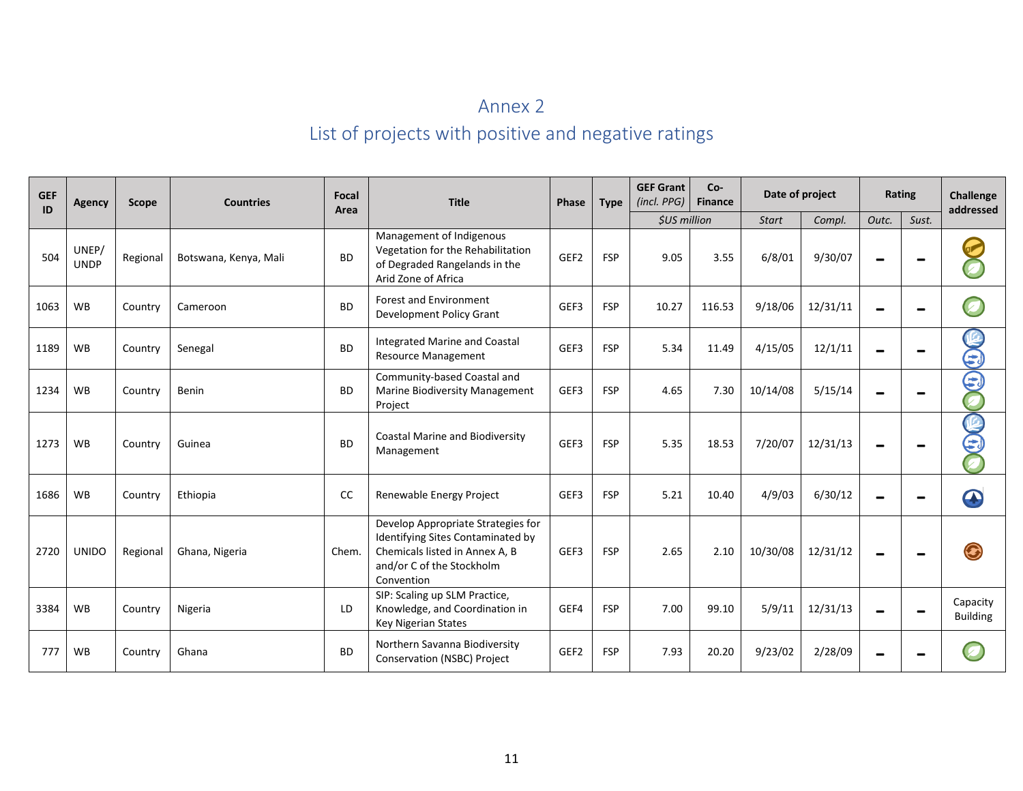# Annex 2 List of projects with positive and negative ratings

| <b>GEF</b><br>ID | Agency               | Scope    | <b>Countries</b>      | Focal<br>Area | <b>Title</b>                                                                                                                                         | Phase            | <b>Type</b> | <b>GEF Grant</b><br>(incl. PPG) | $Co-$<br>Date of project<br><b>Finance</b> |              |          | Rating |       | Challenge<br>addressed      |  |
|------------------|----------------------|----------|-----------------------|---------------|------------------------------------------------------------------------------------------------------------------------------------------------------|------------------|-------------|---------------------------------|--------------------------------------------|--------------|----------|--------|-------|-----------------------------|--|
|                  |                      |          |                       |               |                                                                                                                                                      |                  |             | <b><i>\$US million</i></b>      |                                            | <b>Start</b> | Compl.   | Outc.  | Sust. |                             |  |
| 504              | UNEP/<br><b>UNDP</b> | Regional | Botswana, Kenya, Mali | <b>BD</b>     | Management of Indigenous<br>Vegetation for the Rehabilitation<br>of Degraded Rangelands in the<br>Arid Zone of Africa                                | GEF <sub>2</sub> | <b>FSP</b>  | 9.05                            | 3.55                                       | 6/8/01       | 9/30/07  |        |       |                             |  |
| 1063             | <b>WB</b>            | Country  | Cameroon              | <b>BD</b>     | <b>Forest and Environment</b><br>Development Policy Grant                                                                                            | GEF3             | <b>FSP</b>  | 10.27                           | 116.53                                     | 9/18/06      | 12/31/11 |        |       |                             |  |
| 1189             | <b>WB</b>            | Country  | Senegal               | <b>BD</b>     | <b>Integrated Marine and Coastal</b><br>Resource Management                                                                                          | GEF3             | <b>FSP</b>  | 5.34                            | 11.49                                      | 4/15/05      | 12/1/11  |        |       | 3                           |  |
| 1234             | <b>WB</b>            | Country  | Benin                 | <b>BD</b>     | Community-based Coastal and<br>Marine Biodiversity Management<br>Project                                                                             | GEF3             | <b>FSP</b>  | 4.65                            | 7.30                                       | 10/14/08     | 5/15/14  |        |       | E                           |  |
| 1273             | <b>WB</b>            | Country  | Guinea                | <b>BD</b>     | Coastal Marine and Biodiversity<br>Management                                                                                                        | GEF3             | <b>FSP</b>  | 5.35                            | 18.53                                      | 7/20/07      | 12/31/13 |        |       | CO CO                       |  |
| 1686             | <b>WB</b>            | Country  | Ethiopia              | CC            | Renewable Energy Project                                                                                                                             | GEF3             | <b>FSP</b>  | 5.21                            | 10.40                                      | 4/9/03       | 6/30/12  |        |       |                             |  |
| 2720             | <b>UNIDO</b>         | Regional | Ghana, Nigeria        | Chem.         | Develop Appropriate Strategies for<br>Identifying Sites Contaminated by<br>Chemicals listed in Annex A, B<br>and/or C of the Stockholm<br>Convention | GEF3             | <b>FSP</b>  | 2.65                            | 2.10                                       | 10/30/08     | 12/31/12 |        |       |                             |  |
| 3384             | <b>WB</b>            | Country  | Nigeria               | LD            | SIP: Scaling up SLM Practice,<br>Knowledge, and Coordination in<br><b>Key Nigerian States</b>                                                        | GEF4             | <b>FSP</b>  | 7.00                            | 99.10                                      | 5/9/11       | 12/31/13 |        |       | Capacity<br><b>Building</b> |  |
| 777              | <b>WB</b>            | Country  | Ghana                 | <b>BD</b>     | Northern Savanna Biodiversity<br>Conservation (NSBC) Project                                                                                         | GEF <sub>2</sub> | <b>FSP</b>  | 7.93                            | 20.20                                      | 9/23/02      | 2/28/09  |        |       |                             |  |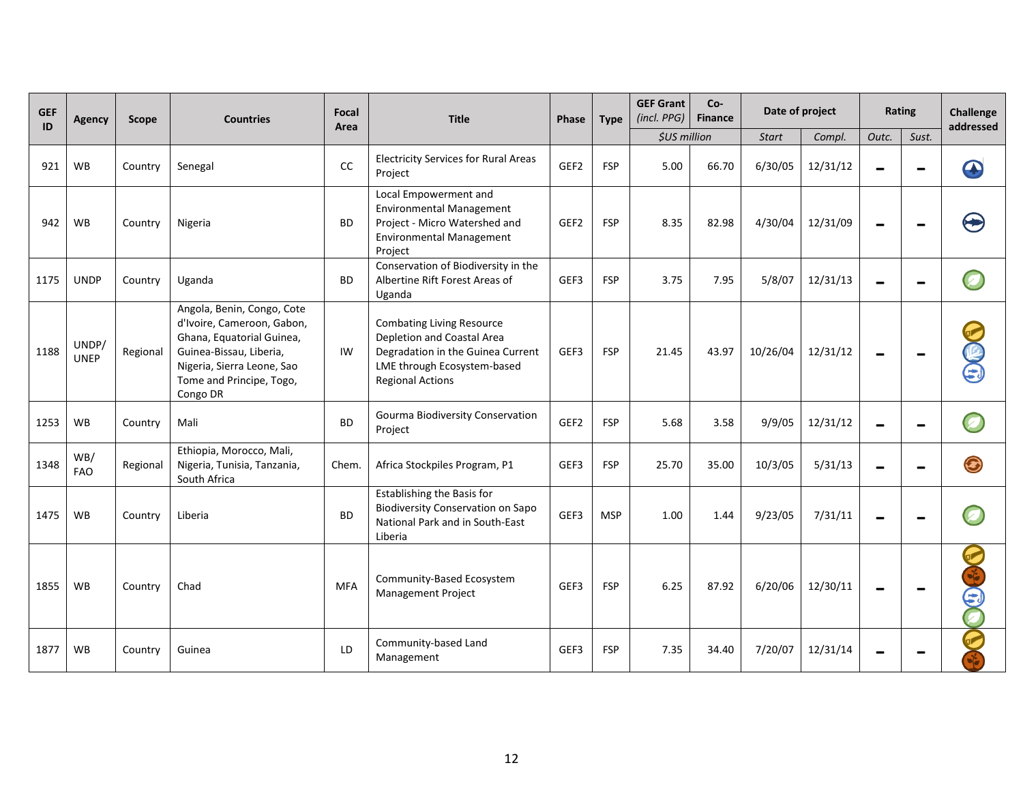| <b>GEF</b><br>ID | Agency               | <b>Scope</b> | <b>Countries</b>                                                                                                                                                                       | <b>Focal</b><br>Area | <b>Title</b>                                                                                                                                                  | Phase            | <b>Type</b> | <b>GEF Grant</b><br>(incl. PPG) | Co-<br><b>Finance</b> | Date of project |          | Rating |       | <b>Challenge</b><br>addressed |
|------------------|----------------------|--------------|----------------------------------------------------------------------------------------------------------------------------------------------------------------------------------------|----------------------|---------------------------------------------------------------------------------------------------------------------------------------------------------------|------------------|-------------|---------------------------------|-----------------------|-----------------|----------|--------|-------|-------------------------------|
|                  |                      |              |                                                                                                                                                                                        |                      |                                                                                                                                                               |                  |             | \$US million                    |                       | <b>Start</b>    | Compl.   | Outc.  | Sust. |                               |
| 921              | <b>WB</b>            | Country      | Senegal                                                                                                                                                                                | CC                   | <b>Electricity Services for Rural Areas</b><br>Project                                                                                                        | GEF <sub>2</sub> | <b>FSP</b>  | 5.00                            | 66.70                 | 6/30/05         | 12/31/12 |        |       |                               |
| 942              | <b>WB</b>            | Country      | Nigeria                                                                                                                                                                                | <b>BD</b>            | Local Empowerment and<br><b>Environmental Management</b><br>Project - Micro Watershed and<br><b>Environmental Management</b><br>Project                       | GEF <sub>2</sub> | <b>FSP</b>  | 8.35                            | 82.98                 | 4/30/04         | 12/31/09 |        |       |                               |
| 1175             | <b>UNDP</b>          | Country      | Uganda                                                                                                                                                                                 | <b>BD</b>            | Conservation of Biodiversity in the<br>Albertine Rift Forest Areas of<br>Uganda                                                                               | GEF3             | <b>FSP</b>  | 3.75                            | 7.95                  | 5/8/07          | 12/31/13 |        |       |                               |
| 1188             | UNDP/<br><b>UNEP</b> | Regional     | Angola, Benin, Congo, Cote<br>d'Ivoire, Cameroon, Gabon,<br>Ghana, Equatorial Guinea,<br>Guinea-Bissau, Liberia,<br>Nigeria, Sierra Leone, Sao<br>Tome and Principe, Togo,<br>Congo DR | IW                   | <b>Combating Living Resource</b><br>Depletion and Coastal Area<br>Degradation in the Guinea Current<br>LME through Ecosystem-based<br><b>Regional Actions</b> | GEF3             | <b>FSP</b>  | 21.45                           | 43.97                 | 10/26/04        | 12/31/12 |        |       | $\mathbf{G}$                  |
| 1253             | <b>WB</b>            | Country      | Mali                                                                                                                                                                                   | <b>BD</b>            | Gourma Biodiversity Conservation<br>Project                                                                                                                   | GEF2             | <b>FSP</b>  | 5.68                            | 3.58                  | 9/9/05          | 12/31/12 |        |       |                               |
| 1348             | WB/<br><b>FAO</b>    | Regional     | Ethiopia, Morocco, Mali,<br>Nigeria, Tunisia, Tanzania,<br>South Africa                                                                                                                | Chem.                | Africa Stockpiles Program, P1                                                                                                                                 | GEF3             | <b>FSP</b>  | 25.70                           | 35.00                 | 10/3/05         | 5/31/13  |        |       |                               |
| 1475             | <b>WB</b>            | Country      | Liberia                                                                                                                                                                                | <b>BD</b>            | Establishing the Basis for<br><b>Biodiversity Conservation on Sapo</b><br>National Park and in South-East<br>Liberia                                          | GEF3             | <b>MSP</b>  | 1.00                            | 1.44                  | 9/23/05         | 7/31/11  |        |       |                               |
| 1855             | <b>WB</b>            | Country      | Chad                                                                                                                                                                                   | <b>MFA</b>           | Community-Based Ecosystem<br>Management Project                                                                                                               | GEF3             | <b>FSP</b>  | 6.25                            | 87.92                 | 6/20/06         | 12/30/11 |        |       | 3                             |
| 1877             | <b>WB</b>            | Country      | Guinea                                                                                                                                                                                 | LD                   | Community-based Land<br>Management                                                                                                                            | GEF3             | <b>FSP</b>  | 7.35                            | 34.40                 | 7/20/07         | 12/31/14 |        |       |                               |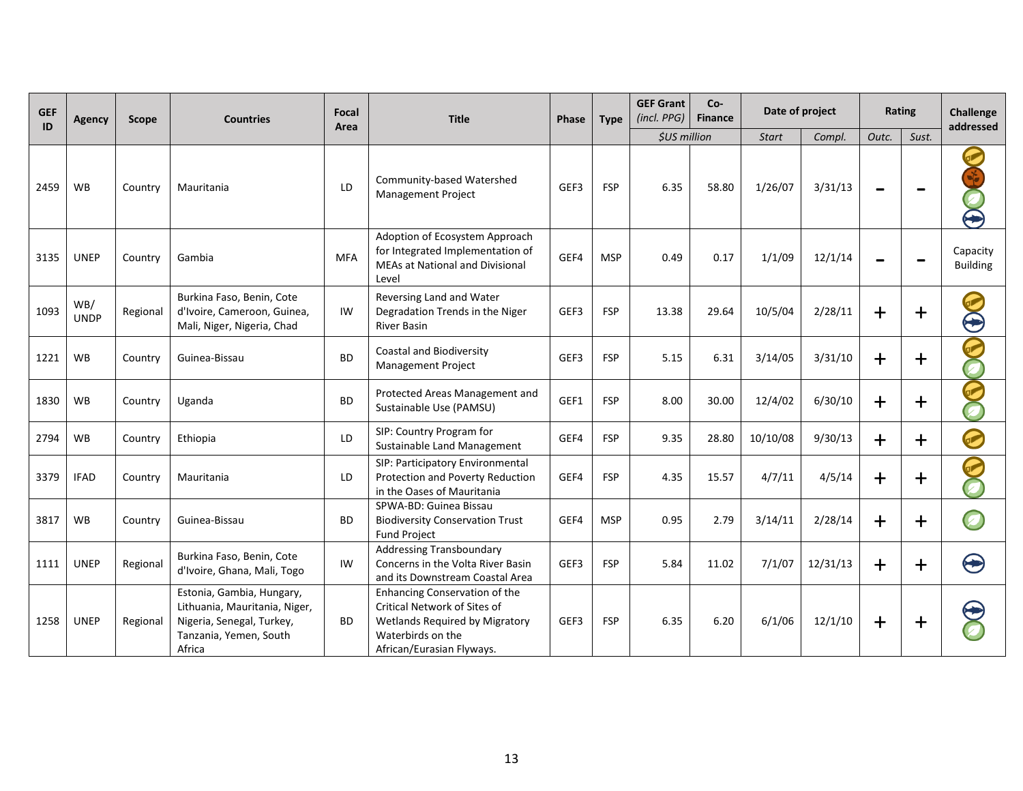| <b>GEF</b><br>ID | <b>Agency</b>      | Scope    | <b>Countries</b>                                                                                                            | Focal<br>Area | <b>Title</b>                                                                                                                                      | <b>Phase</b> | <b>Type</b> | <b>GEF Grant</b><br>(incl. PPG) | Co-<br><b>Finance</b> | Date of project |          | Rating      |            | <b>Challenge</b><br>addressed |
|------------------|--------------------|----------|-----------------------------------------------------------------------------------------------------------------------------|---------------|---------------------------------------------------------------------------------------------------------------------------------------------------|--------------|-------------|---------------------------------|-----------------------|-----------------|----------|-------------|------------|-------------------------------|
|                  |                    |          |                                                                                                                             |               |                                                                                                                                                   |              |             | \$US million                    |                       | <b>Start</b>    | Compl.   | Outc.       | Sust.      |                               |
| 2459             | <b>WB</b>          | Country  | Mauritania                                                                                                                  | LD            | Community-based Watershed<br>Management Project                                                                                                   | GEF3         | <b>FSP</b>  | 6.35                            | 58.80                 | 1/26/07         | 3/31/13  |             |            | $\blacktriangleright$         |
| 3135             | <b>UNEP</b>        | Country  | Gambia                                                                                                                      | <b>MFA</b>    | Adoption of Ecosystem Approach<br>for Integrated Implementation of<br>MEAs at National and Divisional<br>Level                                    | GEF4         | <b>MSP</b>  | 0.49                            | 0.17                  | 1/1/09          | 12/1/14  |             |            | Capacity<br><b>Building</b>   |
| 1093             | WB/<br><b>UNDP</b> | Regional | Burkina Faso, Benin, Cote<br>d'Ivoire, Cameroon, Guinea,<br>Mali, Niger, Nigeria, Chad                                      | IW            | Reversing Land and Water<br>Degradation Trends in the Niger<br><b>River Basin</b>                                                                 | GEF3         | <b>FSP</b>  | 13.38                           | 29.64                 | 10/5/04         | 2/28/11  | $\ddag$     | $\ddagger$ | $\breve{\mathbf{\Theta}}$     |
| 1221             | <b>WB</b>          | Country  | Guinea-Bissau                                                                                                               | <b>BD</b>     | <b>Coastal and Biodiversity</b><br>Management Project                                                                                             | GEF3         | <b>FSP</b>  | 5.15                            | 6.31                  | 3/14/05         | 3/31/10  | $+$         | $\pm$      | C                             |
| 1830             | WB                 | Country  | Uganda                                                                                                                      | <b>BD</b>     | Protected Areas Management and<br>Sustainable Use (PAMSU)                                                                                         | GEF1         | <b>FSP</b>  | 8.00                            | 30.00                 | 12/4/02         | 6/30/10  | $\div$      | $+$        | 2<br>Ō                        |
| 2794             | <b>WB</b>          | Country  | Ethiopia                                                                                                                    | LD            | SIP: Country Program for<br>Sustainable Land Management                                                                                           | GEF4         | <b>FSP</b>  | 9.35                            | 28.80                 | 10/10/08        | 9/30/13  | $\mathbf +$ | $\pm$      | $\bigodot$                    |
| 3379             | <b>IFAD</b>        | Country  | Mauritania                                                                                                                  | LD            | SIP: Participatory Environmental<br>Protection and Poverty Reduction<br>in the Oases of Mauritania                                                | GEF4         | <b>FSP</b>  | 4.35                            | 15.57                 | 4/7/11          | 4/5/14   | $\mathbf +$ | $+$        | P<br>0                        |
| 3817             | <b>WB</b>          | Country  | Guinea-Bissau                                                                                                               | <b>BD</b>     | SPWA-BD: Guinea Bissau<br><b>Biodiversity Conservation Trust</b><br><b>Fund Project</b>                                                           | GEF4         | <b>MSP</b>  | 0.95                            | 2.79                  | 3/14/11         | 2/28/14  | $\div$      | $\ddag$    | Ø                             |
| 1111             | <b>UNEP</b>        | Regional | Burkina Faso, Benin, Cote<br>d'Ivoire, Ghana, Mali, Togo                                                                    | IW            | <b>Addressing Transboundary</b><br>Concerns in the Volta River Basin<br>and its Downstream Coastal Area                                           | GEF3         | <b>FSP</b>  | 5.84                            | 11.02                 | 7/1/07          | 12/31/13 | $\ddag$     | $+$        | ❸                             |
| 1258             | <b>UNEP</b>        | Regional | Estonia, Gambia, Hungary,<br>Lithuania, Mauritania, Niger,<br>Nigeria, Senegal, Turkey,<br>Tanzania, Yemen, South<br>Africa | <b>BD</b>     | Enhancing Conservation of the<br>Critical Network of Sites of<br>Wetlands Required by Migratory<br>Waterbirds on the<br>African/Eurasian Flyways. | GEF3         | <b>FSP</b>  | 6.35                            | 6.20                  | 6/1/06          | 12/1/10  | $+$         | $\bm{+}$   |                               |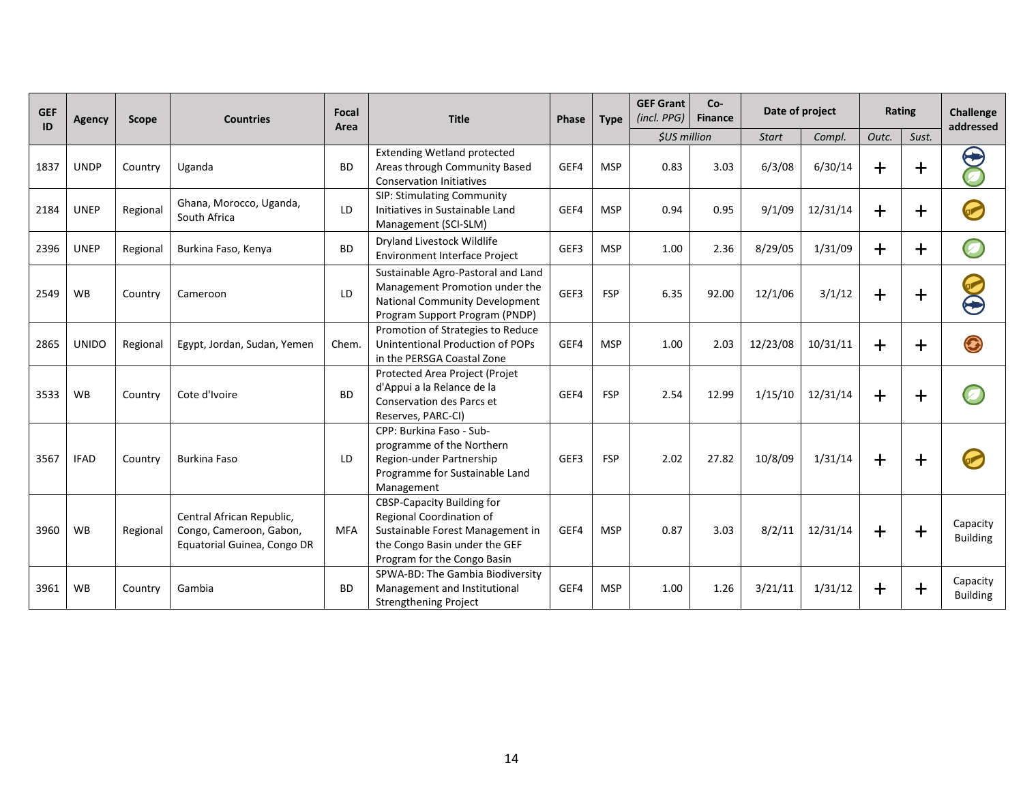| <b>GEF</b><br>ID | <b>Agency</b> | <b>Scope</b> | <b>Countries</b>                                                                    | Focal<br>Area | <b>Title</b>                                                                                                                                                      | Phase | <b>Type</b> | <b>GEF Grant</b><br>(incl. PPG) | $Co-$<br><b>Finance</b> | Date of project |          | Rating         |             | <b>Challenge</b><br>addressed |
|------------------|---------------|--------------|-------------------------------------------------------------------------------------|---------------|-------------------------------------------------------------------------------------------------------------------------------------------------------------------|-------|-------------|---------------------------------|-------------------------|-----------------|----------|----------------|-------------|-------------------------------|
|                  |               |              |                                                                                     |               |                                                                                                                                                                   |       |             | <b><i>SUS million</i></b>       |                         | Start           | Compl.   | Outc.          | Sust.       |                               |
| 1837             | <b>UNDP</b>   | Country      | Uganda                                                                              | <b>BD</b>     | <b>Extending Wetland protected</b><br>Areas through Community Based<br><b>Conservation Initiatives</b>                                                            | GEF4  | <b>MSP</b>  | 0.83                            | 3.03                    | 6/3/08          | 6/30/14  | $\overline{+}$ | $\mathbf +$ | $\bm{\Theta}$                 |
| 2184             | <b>UNEP</b>   | Regional     | Ghana, Morocco, Uganda,<br>South Africa                                             | LD            | SIP: Stimulating Community<br>Initiatives in Sustainable Land<br>Management (SCI-SLM)                                                                             | GEF4  | <b>MSP</b>  | 0.94                            | 0.95                    | 9/1/09          | 12/31/14 | $\overline{+}$ | $\div$      |                               |
| 2396             | <b>UNEP</b>   | Regional     | Burkina Faso, Kenya                                                                 | <b>BD</b>     | Dryland Livestock Wildlife<br><b>Environment Interface Project</b>                                                                                                | GEF3  | <b>MSP</b>  | 1.00                            | 2.36                    | 8/29/05         | 1/31/09  | $+$            | $\ddagger$  | $\boldsymbol{Z}$              |
| 2549             | <b>WB</b>     | Country      | Cameroon                                                                            | LD            | Sustainable Agro-Pastoral and Land<br>Management Promotion under the<br>National Community Development<br>Program Support Program (PNDP)                          | GEF3  | <b>FSP</b>  | 6.35                            | 92.00                   | 12/1/06         | 3/1/12   | $\mathbf +$    | $+$         | $\bf \Theta$                  |
| 2865             | <b>UNIDO</b>  | Regional     | Egypt, Jordan, Sudan, Yemen                                                         | Chem.         | Promotion of Strategies to Reduce<br>Unintentional Production of POPs<br>in the PERSGA Coastal Zone                                                               | GEF4  | <b>MSP</b>  | 1.00                            | 2.03                    | 12/23/08        | 10/31/11 | $\bm{+}$       | $\bm{+}$    | ⊙                             |
| 3533             | <b>WB</b>     | Country      | Cote d'Ivoire                                                                       | <b>BD</b>     | Protected Area Project (Projet<br>d'Appui a la Relance de la<br>Conservation des Parcs et<br>Reserves, PARC-CI)                                                   | GEF4  | <b>FSP</b>  | 2.54                            | 12.99                   | 1/15/10         | 12/31/14 | $\pm$          | $\bm{+}$    |                               |
| 3567             | <b>IFAD</b>   | Country      | <b>Burkina Faso</b>                                                                 | LD            | CPP: Burkina Faso - Sub-<br>programme of the Northern<br>Region-under Partnership<br>Programme for Sustainable Land<br>Management                                 | GEF3  | <b>FSP</b>  | 2.02                            | 27.82                   | 10/8/09         | 1/31/14  | $\ddag$        | $+$         |                               |
| 3960             | WB            | Regional     | Central African Republic,<br>Congo, Cameroon, Gabon,<br>Equatorial Guinea, Congo DR | <b>MFA</b>    | <b>CBSP-Capacity Building for</b><br>Regional Coordination of<br>Sustainable Forest Management in<br>the Congo Basin under the GEF<br>Program for the Congo Basin | GEF4  | <b>MSP</b>  | 0.87                            | 3.03                    | 8/2/11          | 12/31/14 | $\pm$          | $+$         | Capacity<br><b>Building</b>   |
| 3961             | <b>WB</b>     | Country      | Gambia                                                                              | <b>BD</b>     | SPWA-BD: The Gambia Biodiversity<br>Management and Institutional<br>Strengthening Project                                                                         | GEF4  | <b>MSP</b>  | 1.00                            | 1.26                    | 3/21/11         | 1/31/12  | ┿              | $\ddag$     | Capacity<br><b>Building</b>   |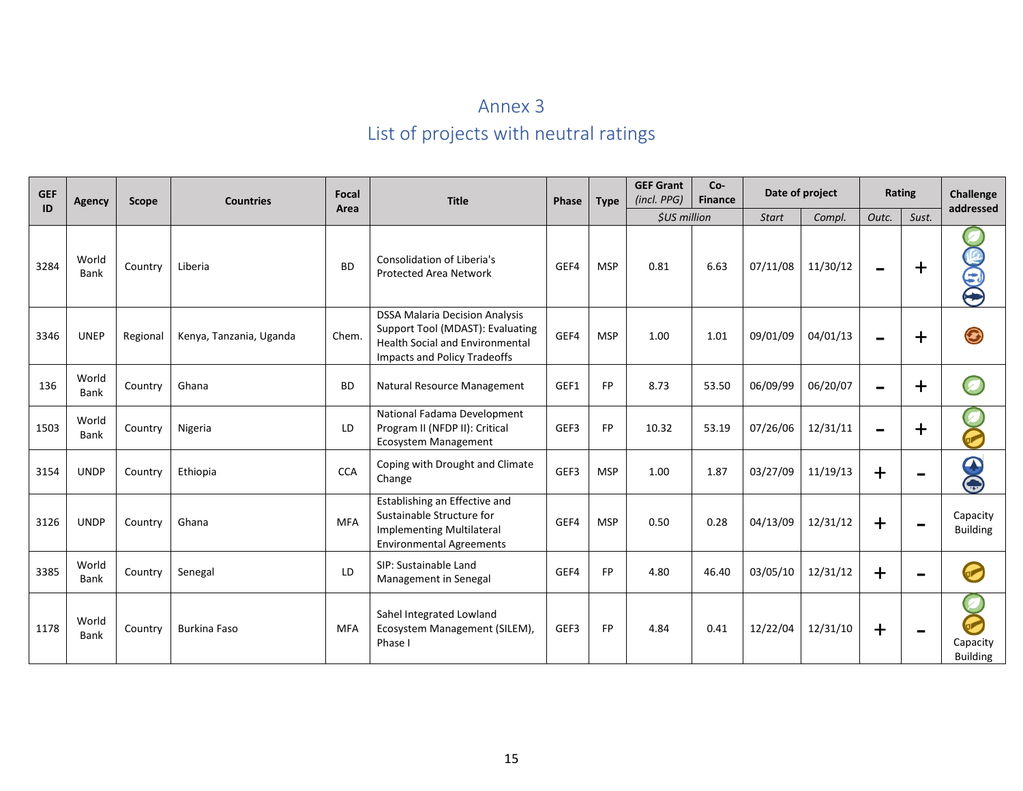# Annex 3 List of projects with neutral ratings

| <b>GEF</b><br>ID | <b>Agency</b> | <b>Scope</b> | <b>Countries</b>        | Focal      | <b>Title</b>                                                                                                                                               | Phase | <b>Type</b> | <b>GEF Grant</b><br>(incl. PPG) | $Co-$<br><b>Finance</b> | Date of project        |          | Rating                   |                              | <b>Challenge</b>                      |
|------------------|---------------|--------------|-------------------------|------------|------------------------------------------------------------------------------------------------------------------------------------------------------------|-------|-------------|---------------------------------|-------------------------|------------------------|----------|--------------------------|------------------------------|---------------------------------------|
|                  |               |              |                         | Area       |                                                                                                                                                            |       |             | <b><i>\$US million</i></b>      |                         | Compl.<br><b>Start</b> |          | Outc.                    | Sust.                        | addressed                             |
| 3284             | World<br>Bank | Country      | Liberia                 | <b>BD</b>  | Consolidation of Liberia's<br><b>Protected Area Network</b>                                                                                                | GEF4  | <b>MSP</b>  | 0.81                            | 6.63                    | 07/11/08               | 11/30/12 | $\equiv$                 | $\ddag$                      | 000                                   |
| 3346             | <b>UNEP</b>   | Regional     | Kenya, Tanzania, Uganda | Chem.      | <b>DSSA Malaria Decision Analysis</b><br>Support Tool (MDAST): Evaluating<br><b>Health Social and Environmental</b><br><b>Impacts and Policy Tradeoffs</b> | GEF4  | <b>MSP</b>  | 1.00                            | 1.01                    | 09/01/09               | 04/01/13 | $\overline{\phantom{0}}$ | $\bm{+}$                     | $\bm{\Theta}$                         |
| 136              | World<br>Bank | Country      | Ghana                   | <b>BD</b>  | Natural Resource Management                                                                                                                                | GEF1  | FP          | 8.73                            | 53.50                   | 06/09/99               | 06/20/07 | $\overline{\phantom{0}}$ | $\bm{+}$                     | Ø                                     |
| 1503             | World<br>Bank | Country      | Nigeria                 | LD         | National Fadama Development<br>Program II (NFDP II): Critical<br>Ecosystem Management                                                                      | GEF3  | FP          | 10.32                           | 53.19                   | 07/26/06               | 12/31/11 | $\equiv$                 | $\ddag$                      | P                                     |
| 3154             | <b>UNDP</b>   | Country      | Ethiopia                | <b>CCA</b> | Coping with Drought and Climate<br>Change                                                                                                                  | GEF3  | <b>MSP</b>  | 1.00                            | 1.87                    | 03/27/09               | 11/19/13 | $\div$                   |                              | $\bigodot$                            |
| 3126             | <b>UNDP</b>   | Country      | Ghana                   | <b>MFA</b> | Establishing an Effective and<br>Sustainable Structure for<br><b>Implementing Multilateral</b><br><b>Environmental Agreements</b>                          | GEF4  | <b>MSP</b>  | 0.50                            | 0.28                    | 04/13/09               | 12/31/12 | $\div$                   | $\qquad \qquad \blacksquare$ | Capacity<br><b>Building</b>           |
| 3385             | World<br>Bank | Country      | Senegal                 | LD.        | SIP: Sustainable Land<br>Management in Senegal                                                                                                             | GEF4  | FP          | 4.80                            | 46.40                   | 03/05/10               | 12/31/12 | $\div$                   |                              | $\rightarrow$                         |
| 1178             | World<br>Bank | Country      | <b>Burkina Faso</b>     | <b>MFA</b> | Sahel Integrated Lowland<br>Ecosystem Management (SILEM),<br>Phase I                                                                                       | GEF3  | FP          | 4.84                            | 0.41                    | 12/22/04               | 12/31/10 | $\mathbf +$              | $\equiv$                     | Ø<br>P<br>Capacity<br><b>Building</b> |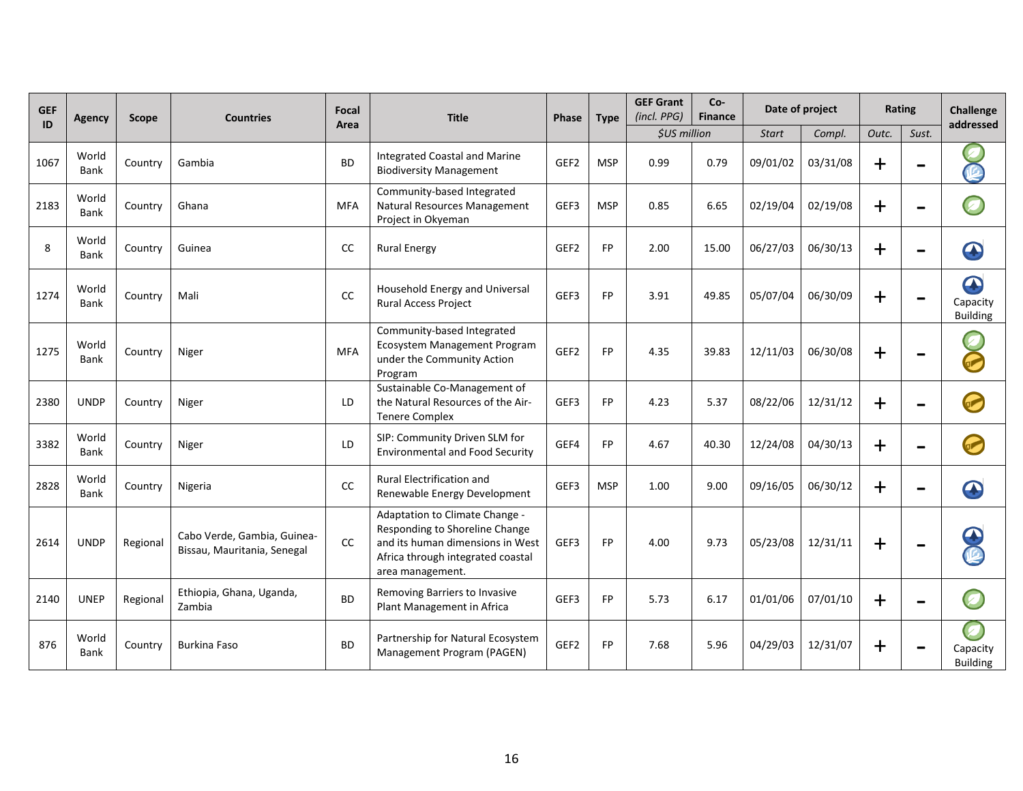| <b>GEF</b><br>ID | <b>Agency</b>        | <b>Scope</b> | <b>Countries</b>                                           | Focal<br>Area | <b>Title</b>                                                                                                                                                  | <b>Phase</b>     | <b>Type</b> | <b>GEF Grant</b><br>(incl. PPG) | Co-<br><b>Finance</b> | Date of project |          | Rating      |                          | Challenge<br>addressed                          |
|------------------|----------------------|--------------|------------------------------------------------------------|---------------|---------------------------------------------------------------------------------------------------------------------------------------------------------------|------------------|-------------|---------------------------------|-----------------------|-----------------|----------|-------------|--------------------------|-------------------------------------------------|
|                  |                      |              |                                                            |               |                                                                                                                                                               |                  |             | \$US million                    |                       | <b>Start</b>    | Compl.   | Outc.       | Sust.                    |                                                 |
| 1067             | World<br><b>Bank</b> | Country      | Gambia                                                     | <b>BD</b>     | <b>Integrated Coastal and Marine</b><br><b>Biodiversity Management</b>                                                                                        | GEF <sub>2</sub> | <b>MSP</b>  | 0.99                            | 0.79                  | 09/01/02        | 03/31/08 | $\mathbf +$ |                          | 应                                               |
| 2183             | World<br>Bank        | Country      | Ghana                                                      | <b>MFA</b>    | Community-based Integrated<br>Natural Resources Management<br>Project in Okyeman                                                                              | GEF3             | <b>MSP</b>  | 0.85                            | 6.65                  | 02/19/04        | 02/19/08 | $\mathbf +$ | -                        | $\bullet$                                       |
| 8                | World<br>Bank        | Country      | Guinea                                                     | CC            | <b>Rural Energy</b>                                                                                                                                           | GEF <sub>2</sub> | <b>FP</b>   | 2.00                            | 15.00                 | 06/27/03        | 06/30/13 | $\mathbf +$ | $\equiv$                 | $\mathbf \Omega$                                |
| 1274             | World<br>Bank        | Country      | Mali                                                       | CC            | Household Energy and Universal<br>Rural Access Project                                                                                                        | GEF3             | <b>FP</b>   | 3.91                            | 49.85                 | 05/07/04        | 06/30/09 | $\mathbf +$ |                          | $\mathbf \Omega$<br>Capacity<br><b>Building</b> |
| 1275             | World<br>Bank        | Country      | Niger                                                      | <b>MFA</b>    | Community-based Integrated<br>Ecosystem Management Program<br>under the Community Action<br>Program                                                           | GEF2             | <b>FP</b>   | 4.35                            | 39.83                 | 12/11/03        | 06/30/08 | $\bm{+}$    |                          |                                                 |
| 2380             | <b>UNDP</b>          | Country      | Niger                                                      | LD            | Sustainable Co-Management of<br>the Natural Resources of the Air-<br><b>Tenere Complex</b>                                                                    | GEF3             | <b>FP</b>   | 4.23                            | 5.37                  | 08/22/06        | 12/31/12 | $\mathbf +$ | $\equiv$                 |                                                 |
| 3382             | World<br>Bank        | Country      | Niger                                                      | LD            | SIP: Community Driven SLM for<br><b>Environmental and Food Security</b>                                                                                       | GEF4             | <b>FP</b>   | 4.67                            | 40.30                 | 12/24/08        | 04/30/13 | $\mathbf +$ | $\overline{\phantom{0}}$ |                                                 |
| 2828             | World<br>Bank        | Country      | Nigeria                                                    | cc            | <b>Rural Electrification and</b><br>Renewable Energy Development                                                                                              | GEF3             | <b>MSP</b>  | 1.00                            | 9.00                  | 09/16/05        | 06/30/12 | $\div$      | $\equiv$                 | $\mathbf \Omega$                                |
| 2614             | <b>UNDP</b>          | Regional     | Cabo Verde, Gambia, Guinea-<br>Bissau, Mauritania, Senegal | <b>CC</b>     | Adaptation to Climate Change -<br>Responding to Shoreline Change<br>and its human dimensions in West<br>Africa through integrated coastal<br>area management. | GEF3             | <b>FP</b>   | 4.00                            | 9.73                  | 05/23/08        | 12/31/11 | $\div$      | -                        | $\mathbb{C}$                                    |
| 2140             | <b>UNEP</b>          | Regional     | Ethiopia, Ghana, Uganda,<br>Zambia                         | <b>BD</b>     | Removing Barriers to Invasive<br>Plant Management in Africa                                                                                                   | GEF3             | FP.         | 5.73                            | 6.17                  | 01/01/06        | 07/01/10 | $+$         |                          |                                                 |
| 876              | World<br>Bank        | Country      | <b>Burkina Faso</b>                                        | <b>BD</b>     | Partnership for Natural Ecosystem<br>Management Program (PAGEN)                                                                                               | GEF2             | <b>FP</b>   | 7.68                            | 5.96                  | 04/29/03        | 12/31/07 | $\bm{+}$    |                          | $\boldsymbol{z}$<br>Capacity<br><b>Building</b> |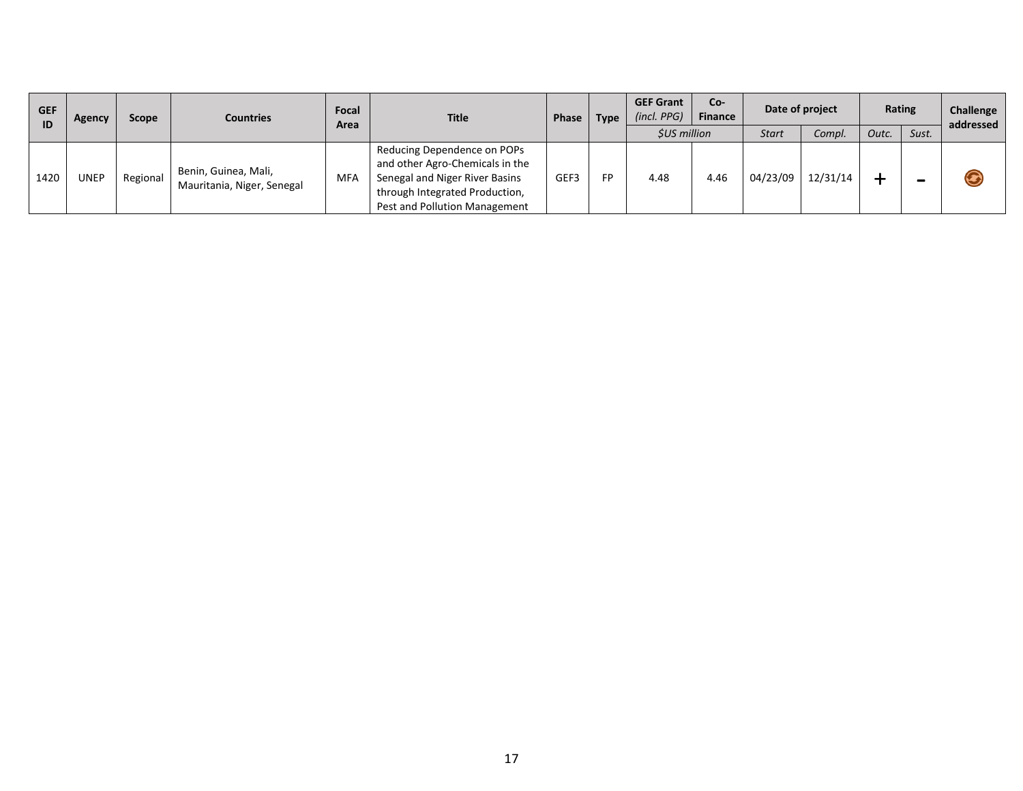| <b>GEF</b><br>ID | Agency      | Scope    | <b>Countries</b>                                   | Focal<br>Area | <b>Title</b>                                                                                                                                                        | Phase<br><b>Type</b> | <b>GEF Grant</b><br>$(incl.$ $PPG)$ | Co-<br><b>Finance</b>                     |      | Date of project | Rating   |       | Challenge<br>addressed |   |
|------------------|-------------|----------|----------------------------------------------------|---------------|---------------------------------------------------------------------------------------------------------------------------------------------------------------------|----------------------|-------------------------------------|-------------------------------------------|------|-----------------|----------|-------|------------------------|---|
|                  |             |          |                                                    |               |                                                                                                                                                                     |                      |                                     | <b><i>SUS million</i></b><br><b>Start</b> |      | Compl.          | Outc.    | Sust. |                        |   |
| 1420             | <b>UNEP</b> | Regional | Benin, Guinea, Mali,<br>Mauritania, Niger, Senegal | MFA           | Reducing Dependence on POPs<br>and other Agro-Chemicals in the<br>Senegal and Niger River Basins<br>through Integrated Production,<br>Pest and Pollution Management | GEF3                 | FP                                  | 4.48                                      | 4.46 | 04/23/09        | 12/31/14 |       | -                      | G |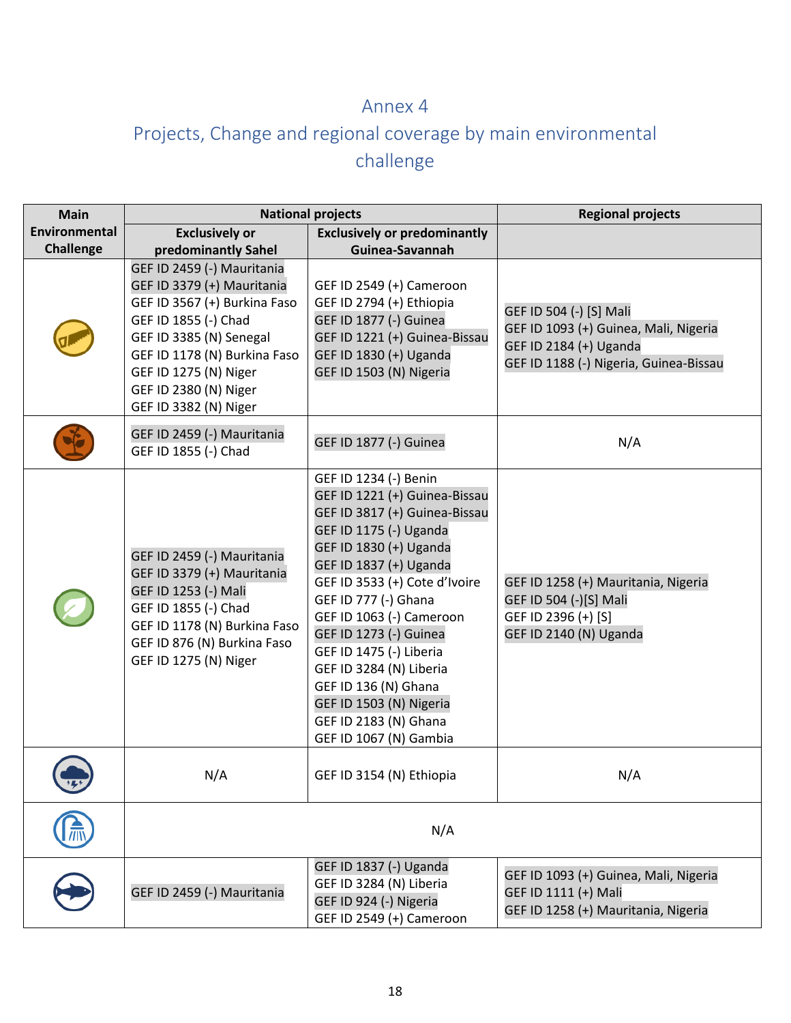### Annex 4

# Projects, Change and regional coverage by main environmental challenge

| <b>Main</b>      |                                                                                                                                                                                                                                                        | <b>National projects</b>                                                                                                                                                                                                                                                                                                                                                                                                                         | <b>Regional projects</b>                                                                                                             |  |  |  |
|------------------|--------------------------------------------------------------------------------------------------------------------------------------------------------------------------------------------------------------------------------------------------------|--------------------------------------------------------------------------------------------------------------------------------------------------------------------------------------------------------------------------------------------------------------------------------------------------------------------------------------------------------------------------------------------------------------------------------------------------|--------------------------------------------------------------------------------------------------------------------------------------|--|--|--|
| Environmental    | <b>Exclusively or</b>                                                                                                                                                                                                                                  | <b>Exclusively or predominantly</b>                                                                                                                                                                                                                                                                                                                                                                                                              |                                                                                                                                      |  |  |  |
| <b>Challenge</b> | predominantly Sahel                                                                                                                                                                                                                                    | Guinea-Savannah                                                                                                                                                                                                                                                                                                                                                                                                                                  |                                                                                                                                      |  |  |  |
|                  | GEF ID 2459 (-) Mauritania<br>GEF ID 3379 (+) Mauritania<br>GEF ID 3567 (+) Burkina Faso<br>GEF ID 1855 (-) Chad<br>GEF ID 3385 (N) Senegal<br>GEF ID 1178 (N) Burkina Faso<br>GEF ID 1275 (N) Niger<br>GEF ID 2380 (N) Niger<br>GEF ID 3382 (N) Niger | GEF ID 2549 (+) Cameroon<br>GEF ID 2794 (+) Ethiopia<br>GEF ID 1877 (-) Guinea<br>GEF ID 1221 (+) Guinea-Bissau<br>GEF ID 1830 (+) Uganda<br>GEF ID 1503 (N) Nigeria                                                                                                                                                                                                                                                                             | GEF ID 504 (-) [S] Mali<br>GEF ID 1093 (+) Guinea, Mali, Nigeria<br>GEF ID 2184 (+) Uganda<br>GEF ID 1188 (-) Nigeria, Guinea-Bissau |  |  |  |
|                  | GEF ID 2459 (-) Mauritania<br>GEF ID 1855 (-) Chad                                                                                                                                                                                                     | GEF ID 1877 (-) Guinea                                                                                                                                                                                                                                                                                                                                                                                                                           | N/A                                                                                                                                  |  |  |  |
|                  | GEF ID 2459 (-) Mauritania<br>GEF ID 3379 (+) Mauritania<br>GEF ID 1253 (-) Mali<br>GEF ID 1855 (-) Chad<br>GEF ID 1178 (N) Burkina Faso<br>GEF ID 876 (N) Burkina Faso<br>GEF ID 1275 (N) Niger                                                       | GEF ID 1234 (-) Benin<br>GEF ID 1221 (+) Guinea-Bissau<br>GEF ID 3817 (+) Guinea-Bissau<br>GEF ID 1175 (-) Uganda<br>GEF ID 1830 (+) Uganda<br>GEF ID 1837 (+) Uganda<br>GEF ID 3533 (+) Cote d'Ivoire<br>GEF ID 777 (-) Ghana<br>GEF ID 1063 (-) Cameroon<br>GEF ID 1273 (-) Guinea<br>GEF ID 1475 (-) Liberia<br>GEF ID 3284 (N) Liberia<br>GEF ID 136 (N) Ghana<br>GEF ID 1503 (N) Nigeria<br>GEF ID 2183 (N) Ghana<br>GEF ID 1067 (N) Gambia | GEF ID 1258 (+) Mauritania, Nigeria<br>GEF ID 504 (-)[S] Mali<br>GEF ID 2396 (+) [S]<br>GEF ID 2140 (N) Uganda                       |  |  |  |
|                  | N/A                                                                                                                                                                                                                                                    | GEF ID 3154 (N) Ethiopia                                                                                                                                                                                                                                                                                                                                                                                                                         | N/A                                                                                                                                  |  |  |  |
|                  |                                                                                                                                                                                                                                                        | N/A                                                                                                                                                                                                                                                                                                                                                                                                                                              |                                                                                                                                      |  |  |  |
|                  | GEF ID 2459 (-) Mauritania                                                                                                                                                                                                                             | GEF ID 1837 (-) Uganda<br>GEF ID 3284 (N) Liberia<br>GEF ID 924 (-) Nigeria<br>GEF ID 2549 (+) Cameroon                                                                                                                                                                                                                                                                                                                                          | GEF ID 1093 (+) Guinea, Mali, Nigeria<br>GEF ID 1111 (+) Mali<br>GEF ID 1258 (+) Mauritania, Nigeria                                 |  |  |  |